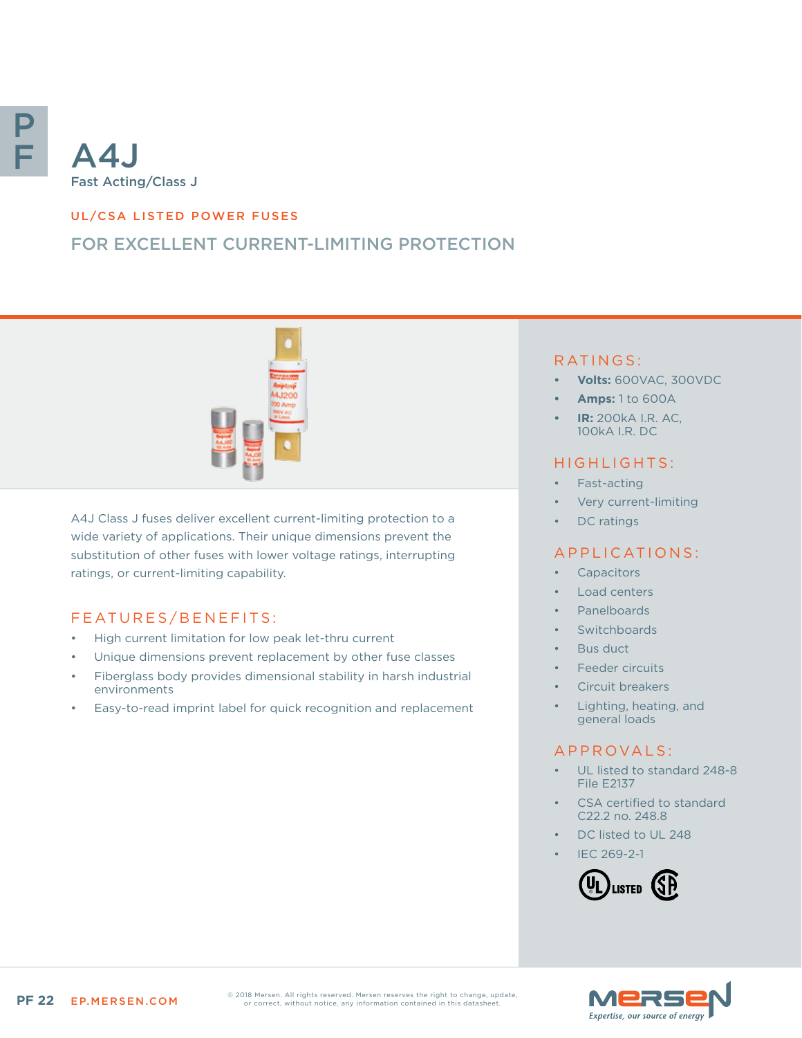

## UL/CSA LISTED POWER FUSES

# FOR EXCELLENT CURRENT-LIMITING PROTECTION



A4J Class J fuses deliver excellent current-limiting protection to a wide variety of applications. Their unique dimensions prevent the substitution of other fuses with lower voltage ratings, interrupting ratings, or current-limiting capability.

## FEATURES/BENEFITS:

- High current limitation for low peak let-thru current
- Unique dimensions prevent replacement by other fuse classes
- Fiberglass body provides dimensional stability in harsh industrial environments
- Easy-to-read imprint label for quick recognition and replacement

### RATINGS:

- **• Volts:** 600VAC, 300VDC
- **• Amps:** 1 to 600A
- **• IR:** 200kA I.R. AC, 100kA I.R. DC

### HIGHLIGHTS:

- Fast-acting
- Very current-limiting
- DC ratings

#### APPLICATIONS:

- **Capacitors**
- Load centers
- Panelboards
- **Switchboards**
- Bus duct
- Feeder circuits
- Circuit breakers
- Lighting, heating, and general loads

## A P P R O V A L S :

- UL listed to standard 248-8 File E2137
- CSA certified to standard C22.2 no. 248.8
- DC listed to UL 248
- IEC 269-2-1